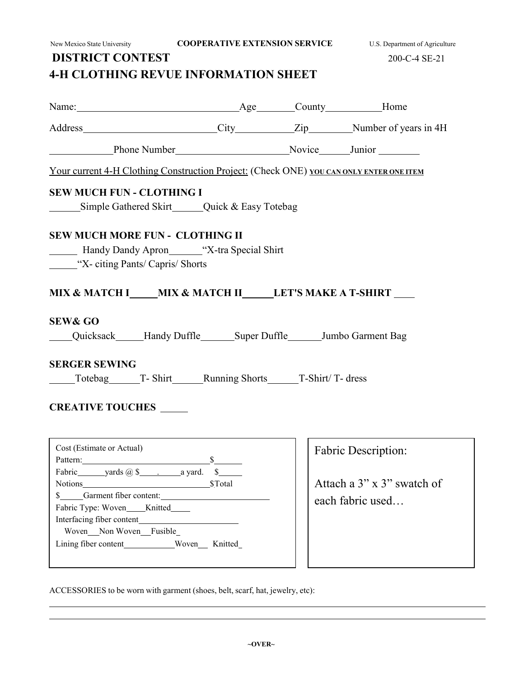New Mexico State University **COOPERATIVE EXTENSION SERVICE** U.S. Department of Agriculture

### **DISTRICT CONTEST** 200-C-4 SE-21 **4-H CLOTHING REVUE INFORMATION SHEET**

Name: Age County Home Address City Zip Number of years in 4H Phone Number Number Novice Junior Your current 4-H Clothing Construction Project: (Check ONE) **YOU CAN ONLY ENTER ONE ITEM SEW MUCH FUN - CLOTHING I** Simple Gathered Skirt Quick & Easy Totebag **SEW MUCH MORE FUN - CLOTHING II** Handy Dandy Apron \_\_\_\_\_\_\_\_ "X-tra Special Shirt" **We citing Pants/ Capris/ Shorts MIX & MATCH I MIX & MATCH II LET'S MAKE A T-SHIRT** Quicksack Handy Duffle Super Duffle Jumbo Garment Bag Totebag T- Shirt Running Shorts T-Shirt/ T- dress

#### **CREATIVE TOUCHES**

**SEW& GO**

**SERGER SEWING**

| Cost (Estimate or Actual)            |               |
|--------------------------------------|---------------|
| Pattern:                             | $\sim$        |
|                                      | $\mathbb{S}$  |
|                                      | <b>STotal</b> |
| \$ Garment fiber content:            |               |
| Fabric Type: Woven_____Knitted______ |               |
| Interfacing fiber content            |               |
| Woven Non Woven Fusible              |               |
|                                      |               |
|                                      |               |

Fabric Description:

Attach a 3" x 3" swatch of each fabric used…

ACCESSORIES to be worn with garment (shoes, belt, scarf, hat, jewelry, etc):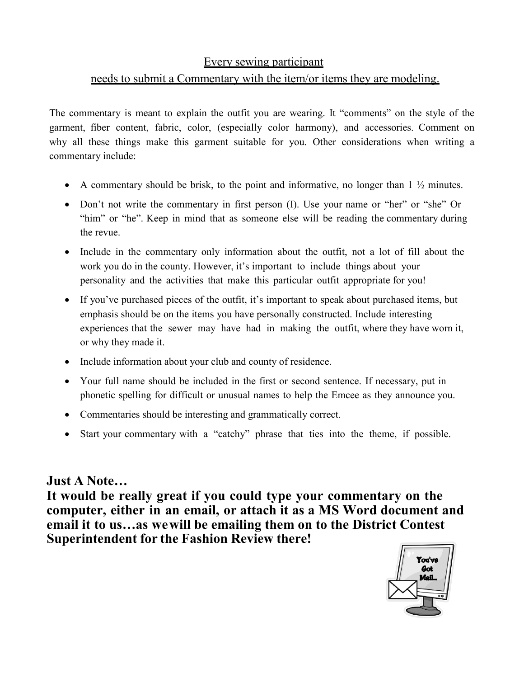#### Every sewing participant

## needs to submit a Commentary with the item/or items they are modeling.

The commentary is meant to explain the outfit you are wearing. It "comments" on the style of the garment, fiber content, fabric, color, (especially color harmony), and accessories. Comment on why all these things make this garment suitable for you. Other considerations when writing a commentary include:

- A commentary should be brisk, to the point and informative, no longer than  $1 \frac{1}{2}$  minutes.
- Don't not write the commentary in first person (I). Use your name or "her" or "she" Or "him" or "he". Keep in mind that as someone else will be reading the commentary during the revue.
- Include in the commentary only information about the outfit, not a lot of fill about the work you do in the county. However, it's important to include things about your personality and the activities that make this particular outfit appropriate for you!
- If you've purchased pieces of the outfit, it's important to speak about purchased items, but emphasis should be on the items you have personally constructed. Include interesting experiences that the sewer may have had in making the outfit, where they have worn it, or why they made it.
- Include information about your club and county of residence.
- Your full name should be included in the first or second sentence. If necessary, put in phonetic spelling for difficult or unusual names to help the Emcee as they announce you.
- Commentaries should be interesting and grammatically correct.
- Start your commentary with a "catchy" phrase that ties into the theme, if possible.

## **Just A Note…**

**It would be really great if you could type your commentary on the computer, either in an email, or attach it as a MS Word document and email it to us…as we will be emailing them on to the District Contest Superintendent for the Fashion Review there!**